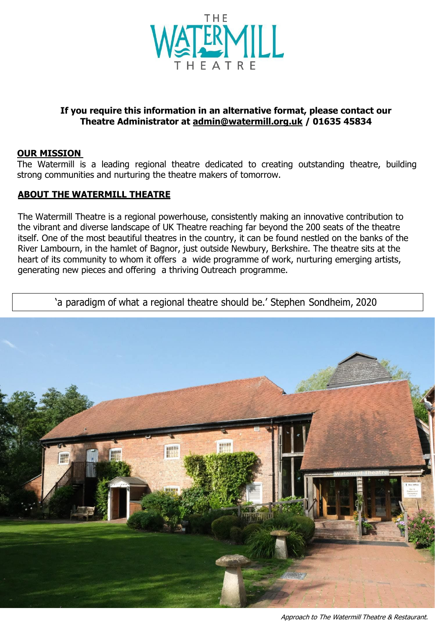

#### **If you require this information in an alternative format, please contact our Theatre Administrator at [admin@watermill.org.uk](mailto:admin@watermill.org.uk) / 01635 45834**

#### **OUR MISSION**

The Watermill is a leading regional theatre dedicated to creating outstanding theatre, building strong communities and nurturing the theatre makers of tomorrow.

#### **ABOUT THE WATERMILL THEATRE**

The Watermill Theatre is a regional powerhouse, consistently making an innovative contribution to the vibrant and diverse landscape of UK Theatre reaching far beyond the 200 seats of the theatre itself. One of the most beautiful theatres in the country, it can be found nestled on the banks of the River Lambourn, in the hamlet of Bagnor, just outside Newbury, Berkshire. The theatre sits at the heart of its community to whom it offers a wide programme of work, nurturing emerging artists, generating new pieces and offering a thriving Outreach programme.

'a paradigm of what a regional theatre should be.' Stephen Sondheim, 2020

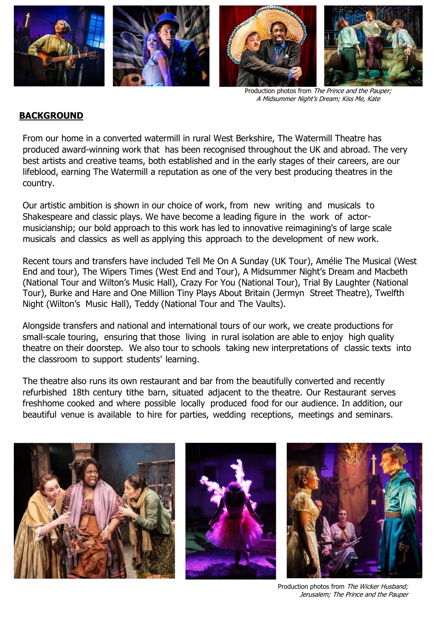

Production photos from The Prince and the Pauper; A Midsummer Night's Dream; Kiss Me, Kate

#### **BACKGROUND**

From our home in a converted watermill in rural West Berkshire, The Watermill Theatre has produced award-winning work that has been recognised throughout the UK and abroad. The very best artists and creative teams, both established and in the early stages of their careers, are our lifeblood, earning The Watermill a reputation as one of the very best producing theatres in the country.

Our artistic ambition is shown in our choice of work, from new writing and musicals to Shakespeare and classic plays. We have become a leading figure in the work of actormusicianship; our bold approach to this work has led to innovative reimagining's of large scale musicals and classics as well as applying this approach to the development of new work.

Recent tours and transfers have included Tell Me On A Sunday (UK Tour), Amélie The Musical (West End and tour), The Wipers Times (West End and Tour), A Midsummer Night's Dream and Macbeth (National Tour and Wilton's Music Hall), Crazy For You (National Tour), Trial By Laughter (National Tour), Burke and Hare and One Million Tiny Plays About Britain (Jermyn Street Theatre), Twelfth Night (Wilton's Music Hall), Teddy (National Tour and The Vaults).

Alongside transfers and national and international tours of our work, we create productions for small-scale touring, ensuring that those living in rural isolation are able to enjoy high quality theatre on their doorstep. We also tour to schools taking new interpretations of classic texts into the classroom to support students' learning.

The theatre also runs its own restaurant and bar from the beautifully converted and recently refurbished 18th century tithe barn, situated adjacent to the theatre. Our Restaurant serves freshhome cooked and where possible locally produced food for our audience. In addition, our beautiful venue is available to hire for parties, wedding receptions, meetings and seminars.



Production photos from The Wicker Husband; Jerusalem; The Prince and the Pauper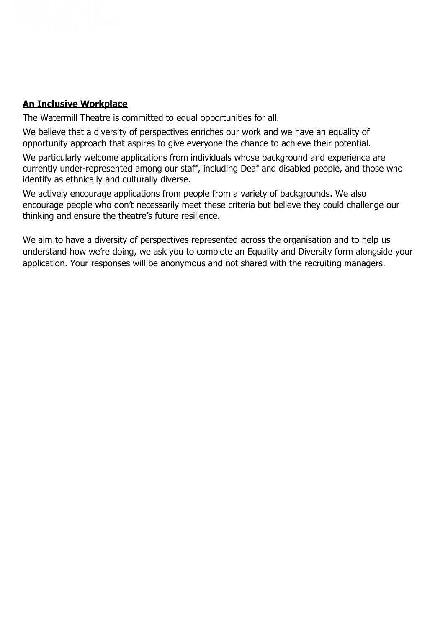## **An Inclusive Workplace**

The Watermill Theatre is committed to equal opportunities for all.

We believe that a diversity of perspectives enriches our work and we have an equality of opportunity approach that aspires to give everyone the chance to achieve their potential.

We particularly welcome applications from individuals whose background and experience are currently under-represented among our staff, including Deaf and disabled people, and those who identify as ethnically and culturally diverse.

We actively encourage applications from people from a variety of backgrounds. We also encourage people who don't necessarily meet these criteria but believe they could challenge our thinking and ensure the theatre's future resilience.

We aim to have a diversity of perspectives represented across the organisation and to help us understand how we're doing, we ask you to complete an Equality and Diversity form alongside your application. Your responses will be anonymous and not shared with the recruiting managers.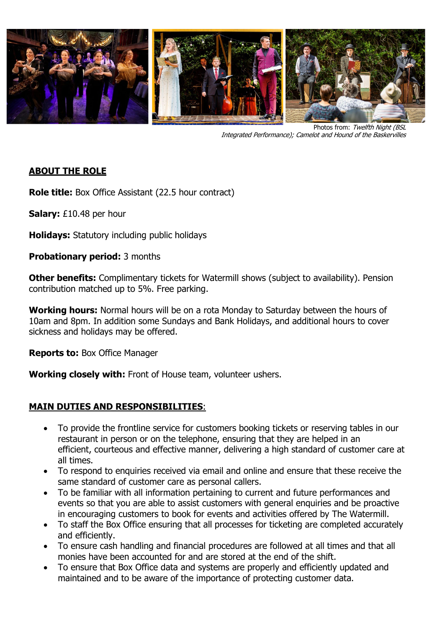

Photos from: Twelfth Night (BSL Integrated Performance); Camelot and Hound of the Baskervilles

## **ABOUT THE ROLE**

**Role title:** Box Office Assistant (22.5 hour contract)

**Salary:** £10.48 per hour

**Holidays:** Statutory including public holidays 

**Probationary period:** 3 months

**Other benefits:** Complimentary tickets for Watermill shows (subject to availability). Pension contribution matched up to 5%. Free parking.

**Working hours:** Normal hours will be on a rota Monday to Saturday between the hours of 10am and 8pm. In addition some Sundays and Bank Holidays, and additional hours to cover sickness and holidays may be offered.

**Reports to:** Box Office Manager

**Working closely with:** Front of House team, volunteer ushers.

## **MAIN DUTIES AND RESPONSIBILITIES**:

- To provide the frontline service for customers booking tickets or reserving tables in our restaurant in person or on the telephone, ensuring that they are helped in an efficient, courteous and effective manner, delivering a high standard of customer care at all times.
- To respond to enquiries received via email and online and ensure that these receive the same standard of customer care as personal callers.
- To be familiar with all information pertaining to current and future performances and events so that you are able to assist customers with general enquiries and be proactive in encouraging customers to book for events and activities offered by The Watermill.
- To staff the Box Office ensuring that all processes for ticketing are completed accurately and efficiently.
- To ensure cash handling and financial procedures are followed at all times and that all monies have been accounted for and are stored at the end of the shift.
- To ensure that Box Office data and systems are properly and efficiently updated and maintained and to be aware of the importance of protecting customer data.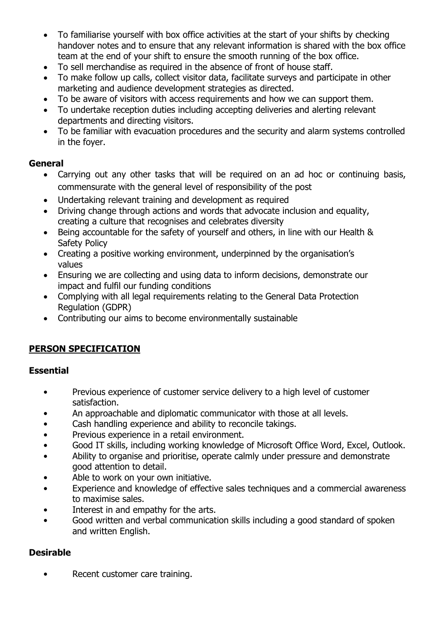- To familiarise yourself with box office activities at the start of your shifts by checking handover notes and to ensure that any relevant information is shared with the box office team at the end of your shift to ensure the smooth running of the box office.
- To sell merchandise as required in the absence of front of house staff.
- To make follow up calls, collect visitor data, facilitate surveys and participate in other marketing and audience development strategies as directed.
- To be aware of visitors with access requirements and how we can support them.
- To undertake reception duties including accepting deliveries and alerting relevant departments and directing visitors.
- To be familiar with evacuation procedures and the security and alarm systems controlled in the foyer.

#### **General**

- Carrying out any other tasks that will be required on an ad hoc or continuing basis, commensurate with the general level of responsibility of the post
- Undertaking relevant training and development as required
- Driving change through actions and words that advocate inclusion and equality, creating a culture that recognises and celebrates diversity
- Being accountable for the safety of yourself and others, in line with our Health & Safety Policy
- Creating a positive working environment, underpinned by the organisation's values
- Ensuring we are collecting and using data to inform decisions, demonstrate our impact and fulfil our funding conditions
- Complying with all legal requirements relating to the General Data Protection Regulation (GDPR)
- Contributing our aims to become environmentally sustainable

# **PERSON SPECIFICATION**

#### **Essential**

- Previous experience of customer service delivery to a high level of customer satisfaction.
- An approachable and diplomatic communicator with those at all levels.
- Cash handling experience and ability to reconcile takings.
- Previous experience in a retail environment.
- Good IT skills, including working knowledge of Microsoft Office Word, Excel, Outlook.
- Ability to organise and prioritise, operate calmly under pressure and demonstrate good attention to detail.
- Able to work on your own initiative.
- Experience and knowledge of effective sales techniques and a commercial awareness to maximise sales.
- Interest in and empathy for the arts.
- Good written and verbal communication skills including a good standard of spoken and written English.

## **Desirable**

• Recent customer care training.